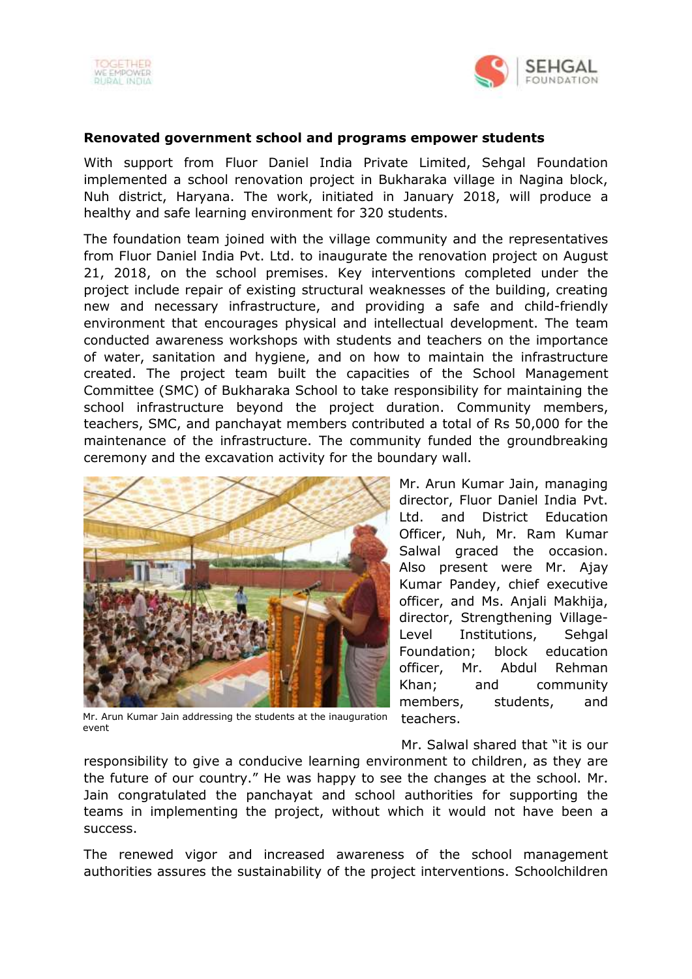



## **Renovated government school and programs empower students**

With support from Fluor Daniel India Private Limited, Sehgal Foundation implemented a school renovation project in Bukharaka village in Nagina block, Nuh district, Haryana. The work, initiated in January 2018, will produce a healthy and safe learning environment for 320 students.

The foundation team joined with the village community and the representatives from Fluor Daniel India Pvt. Ltd. to inaugurate the renovation project on August 21, 2018, on the school premises. Key interventions completed under the project include repair of existing structural weaknesses of the building, creating new and necessary infrastructure, and providing a safe and child-friendly environment that encourages physical and intellectual development. The team conducted awareness workshops with students and teachers on the importance of water, sanitation and hygiene, and on how to maintain the infrastructure created. The project team built the capacities of the School Management Committee (SMC) of Bukharaka School to take responsibility for maintaining the school infrastructure beyond the project duration. Community members, teachers, SMC, and panchayat members contributed a total of Rs 50,000 for the maintenance of the infrastructure. The community funded the groundbreaking ceremony and the excavation activity for the boundary wall.



Mr. Arun Kumar Jain, managing director, Fluor Daniel India Pvt. Ltd. and District Education Officer, Nuh, Mr. Ram Kumar Salwal graced the occasion. Also present were Mr. Ajay Kumar Pandey, chief executive officer, and Ms. Anjali Makhija, director, Strengthening Village-Level Institutions, Sehgal Foundation; block education officer, Mr. Abdul Rehman Khan; and community members, students, and teachers.

Mr. Arun Kumar Jain addressing the students at the inauguration event

Mr. Salwal shared that "it is our

responsibility to give a conducive learning environment to children, as they are the future of our country." He was happy to see the changes at the school. Mr. Jain congratulated the panchayat and school authorities for supporting the teams in implementing the project, without which it would not have been a success.

The renewed vigor and increased awareness of the school management authorities assures the sustainability of the project interventions. Schoolchildren